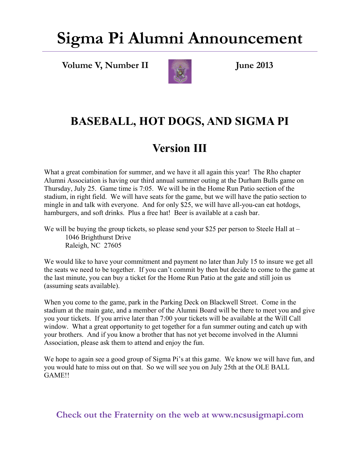## **Sigma Pi Alumni Announcement**

**Volume V, Number II** June 2013



#### **BASEBALL, HOT DOGS, AND SIGMA PI**

#### **Version III**

What a great combination for summer, and we have it all again this year! The Rho chapter Alumni Association is having our third annual summer outing at the Durham Bulls game on Thursday, July 25. Game time is 7:05. We will be in the Home Run Patio section of the stadium, in right field. We will have seats for the game, but we will have the patio section to mingle in and talk with everyone. And for only \$25, we will have all-you-can eat hotdogs, hamburgers, and soft drinks. Plus a free hat! Beer is available at a cash bar.

We will be buying the group tickets, so please send your \$25 per person to Steele Hall at – 1046 Brighthurst Drive Raleigh, NC 27605

We would like to have your commitment and payment no later than July 15 to insure we get all the seats we need to be together. If you can't commit by then but decide to come to the game at the last minute, you can buy a ticket for the Home Run Patio at the gate and still join us (assuming seats available).

When you come to the game, park in the Parking Deck on Blackwell Street. Come in the stadium at the main gate, and a member of the Alumni Board will be there to meet you and give you your tickets. If you arrive later than 7:00 your tickets will be available at the Will Call window. What a great opportunity to get together for a fun summer outing and catch up with your brothers. And if you know a brother that has not yet become involved in the Alumni Association, please ask them to attend and enjoy the fun.

We hope to again see a good group of Sigma Pi's at this game. We know we will have fun, and you would hate to miss out on that. So we will see you on July 25th at the OLE BALL GAME!!

**Check out the Fraternity on the web at www.ncsusigmapi.com**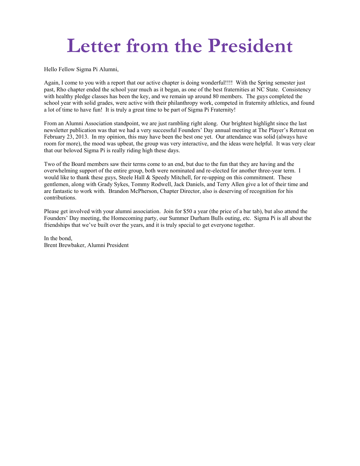# **Letter from the President**

Hello Fellow Sigma Pi Alumni,

Again, I come to you with a report that our active chapter is doing wonderful!!!! With the Spring semester just past, Rho chapter ended the school year much as it began, as one of the best fraternities at NC State. Consistency with healthy pledge classes has been the key, and we remain up around 80 members. The guys completed the school year with solid grades, were active with their philanthropy work, competed in fraternity athletics, and found a lot of time to have fun! It is truly a great time to be part of Sigma Pi Fraternity!

From an Alumni Association standpoint, we are just rambling right along. Our brightest highlight since the last newsletter publication was that we had a very successful Founders' Day annual meeting at The Player's Retreat on February 23, 2013. In my opinion, this may have been the best one yet. Our attendance was solid (always have room for more), the mood was upbeat, the group was very interactive, and the ideas were helpful. It was very clear that our beloved Sigma Pi is really riding high these days.

Two of the Board members saw their terms come to an end, but due to the fun that they are having and the overwhelming support of the entire group, both were nominated and re-elected for another three-year term. I would like to thank these guys, Steele Hall & Speedy Mitchell, for re-upping on this commitment. These gentlemen, along with Grady Sykes, Tommy Rodwell, Jack Daniels, and Terry Allen give a lot of their time and are fantastic to work with. Brandon McPherson, Chapter Director, also is deserving of recognition for his contributions.

Please get involved with your alumni association. Join for \$50 a year (the price of a bar tab), but also attend the Founders' Day meeting, the Homecoming party, our Summer Durham Bulls outing, etc. Sigma Pi is all about the friendships that we've built over the years, and it is truly special to get everyone together.

In the bond, Brent Brewbaker, Alumni President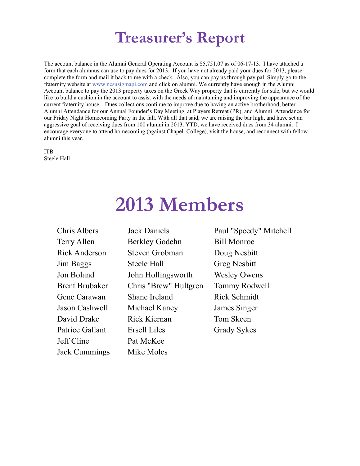### **Treasurer's Report**

The account balance in the Alumni General Operating Account is \$5,751.07 as of 06-17-13. I have attached a form that each alumnus can use to pay dues for 2013. If you have not already paid your dues for 2013, please complete the form and mail it back to me with a check. Also, you can pay us through pay pal. Simply go to the fraternity website at [www.ncsusigmapi.com](http://www.ncsusigmapi.com) and click on alumni. We currently have enough in the Alumni Account balance to pay the 2013 property taxes on the Greek Way property that is currently for sale, but we would like to build a cushion in the account to assist with the needs of maintaining and improving the appearance of the current fraternity house. Dues collections continue to improve due to having an active brotherhood, better Alumni Attendance for our Annual Founder's Day Meeting at Players Retreat (PR), and Alumni Attendance for our Friday Night Homecoming Party in the fall. With all that said, we are raising the bar high, and have set an aggressive goal of receiving dues from 100 alumni in 2013. YTD, we have received dues from 34 alumni. I encourage everyone to attend homecoming (against Chapel College), visit the house, and reconnect with fellow alumni this year.

ITB Steele Hall

## **2013 Members**

Jeff Cline Pat McKee Jack Cummings Mike Moles

Terry Allen Berkley Godehn Bill Monroe Rick Anderson Steven Grobman Doug Nesbitt Jim Baggs Steele Hall Greg Nesbitt Jon Boland John Hollingsworth Wesley Owens Brent Brubaker Chris "Brew" Hultgren Tommy Rodwell Gene Carawan Shane Ireland Rick Schmidt Jason Cashwell Michael Kaney James Singer David Drake Rick Kiernan Tom Skeen Patrice Gallant Ersell Liles Grady Sykes

Chris Albers Jack Daniels Paul "Speedy" Mitchell